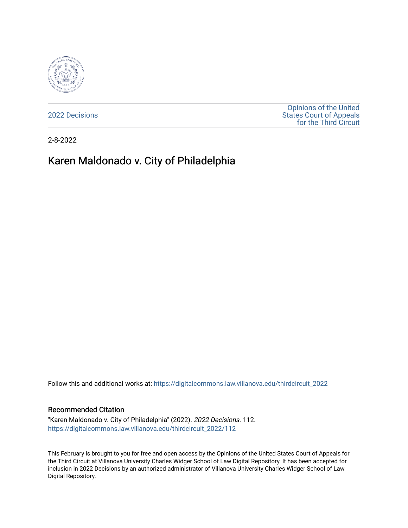

[2022 Decisions](https://digitalcommons.law.villanova.edu/thirdcircuit_2022)

[Opinions of the United](https://digitalcommons.law.villanova.edu/thirdcircuit)  [States Court of Appeals](https://digitalcommons.law.villanova.edu/thirdcircuit)  [for the Third Circuit](https://digitalcommons.law.villanova.edu/thirdcircuit) 

2-8-2022

# Karen Maldonado v. City of Philadelphia

Follow this and additional works at: [https://digitalcommons.law.villanova.edu/thirdcircuit\\_2022](https://digitalcommons.law.villanova.edu/thirdcircuit_2022?utm_source=digitalcommons.law.villanova.edu%2Fthirdcircuit_2022%2F112&utm_medium=PDF&utm_campaign=PDFCoverPages) 

#### Recommended Citation

"Karen Maldonado v. City of Philadelphia" (2022). 2022 Decisions. 112. [https://digitalcommons.law.villanova.edu/thirdcircuit\\_2022/112](https://digitalcommons.law.villanova.edu/thirdcircuit_2022/112?utm_source=digitalcommons.law.villanova.edu%2Fthirdcircuit_2022%2F112&utm_medium=PDF&utm_campaign=PDFCoverPages)

This February is brought to you for free and open access by the Opinions of the United States Court of Appeals for the Third Circuit at Villanova University Charles Widger School of Law Digital Repository. It has been accepted for inclusion in 2022 Decisions by an authorized administrator of Villanova University Charles Widger School of Law Digital Repository.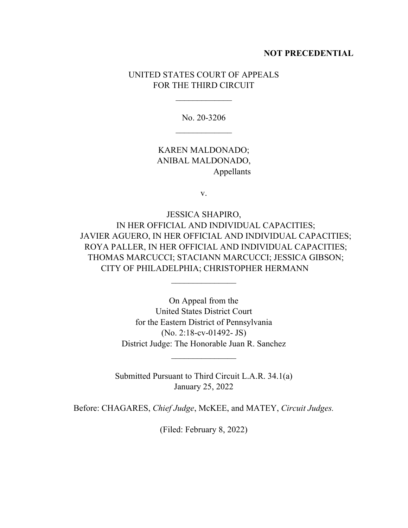# **NOT PRECEDENTIAL**

# UNITED STATES COURT OF APPEALS FOR THE THIRD CIRCUIT

 $\overline{\phantom{a}}$ 

No. 20-3206  $\overline{\phantom{a}}$ 

KAREN MALDONADO; ANIBAL MALDONADO, Appellants

v.

JESSICA SHAPIRO, IN HER OFFICIAL AND INDIVIDUAL CAPACITIES; JAVIER AGUERO, IN HER OFFICIAL AND INDIVIDUAL CAPACITIES; ROYA PALLER, IN HER OFFICIAL AND INDIVIDUAL CAPACITIES; THOMAS MARCUCCI; STACIANN MARCUCCI; JESSICA GIBSON; CITY OF PHILADELPHIA; CHRISTOPHER HERMANN

> On Appeal from the United States District Court for the Eastern District of Pennsylvania (No. 2:18-cv-01492- JS) District Judge: The Honorable Juan R. Sanchez

 $\frac{1}{2}$ 

Submitted Pursuant to Third Circuit L.A.R. 34.1(a) January 25, 2022

 $\frac{1}{2}$ 

Before: CHAGARES, *Chief Judge*, McKEE, and MATEY, *Circuit Judges.*

(Filed: February 8, 2022)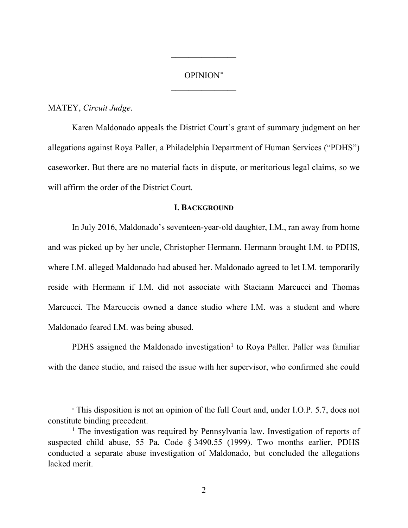# OPINION<sup>∗</sup>  $\overline{\phantom{a}}$  , where  $\overline{\phantom{a}}$

 $\overline{\phantom{a}}$  , where  $\overline{\phantom{a}}$ 

#### MATEY, *Circuit Judge*.

Karen Maldonado appeals the District Court's grant of summary judgment on her allegations against Roya Paller, a Philadelphia Department of Human Services ("PDHS") caseworker. But there are no material facts in dispute, or meritorious legal claims, so we will affirm the order of the District Court.

#### **I. BACKGROUND**

In July 2016, Maldonado's seventeen-year-old daughter, I.M., ran away from home and was picked up by her uncle, Christopher Hermann. Hermann brought I.M. to PDHS, where I.M. alleged Maldonado had abused her. Maldonado agreed to let I.M. temporarily reside with Hermann if I.M. did not associate with Staciann Marcucci and Thomas Marcucci. The Marcuccis owned a dance studio where I.M. was a student and where Maldonado feared I.M. was being abused.

PDHS assigned the Maldonado investigation<sup>1</sup> to Roya Paller. Paller was familiar with the dance studio, and raised the issue with her supervisor, who confirmed she could

<sup>∗</sup> This disposition is not an opinion of the full Court and, under I.O.P. 5.7, does not constitute binding precedent.

<sup>&</sup>lt;sup>1</sup> The investigation was required by Pennsylvania law. Investigation of reports of suspected child abuse, 55 Pa. Code § 3490.55 (1999). Two months earlier, PDHS conducted a separate abuse investigation of Maldonado, but concluded the allegations lacked merit.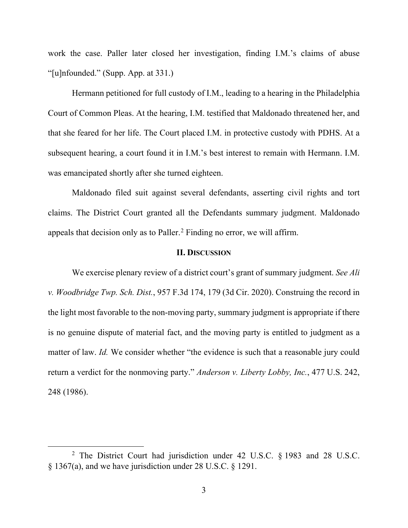work the case. Paller later closed her investigation, finding I.M.'s claims of abuse "[u]nfounded." (Supp. App. at 331.)

Hermann petitioned for full custody of I.M., leading to a hearing in the Philadelphia Court of Common Pleas. At the hearing, I.M. testified that Maldonado threatened her, and that she feared for her life. The Court placed I.M. in protective custody with PDHS. At a subsequent hearing, a court found it in I.M.'s best interest to remain with Hermann. I.M. was emancipated shortly after she turned eighteen.

Maldonado filed suit against several defendants, asserting civil rights and tort claims. The District Court granted all the Defendants summary judgment. Maldonado appeals that decision only as to Paller.2 Finding no error, we will affirm.

## **II. DISCUSSION**

We exercise plenary review of a district court's grant of summary judgment. *See Ali v. Woodbridge Twp. Sch. Dist.*, 957 F.3d 174, 179 (3d Cir. 2020). Construing the record in the light most favorable to the non-moving party, summary judgment is appropriate if there is no genuine dispute of material fact, and the moving party is entitled to judgment as a matter of law. *Id*. We consider whether "the evidence is such that a reasonable jury could return a verdict for the nonmoving party." *Anderson v. Liberty Lobby, Inc.*, 477 U.S. 242, 248 (1986).

<sup>2</sup> The District Court had jurisdiction under 42 U.S.C. § 1983 and 28 U.S.C. § 1367(a), and we have jurisdiction under 28 U.S.C. § 1291.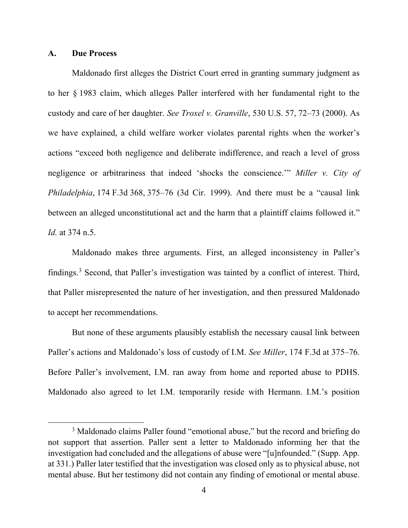## **A. Due Process**

Maldonado first alleges the District Court erred in granting summary judgment as to her § 1983 claim, which alleges Paller interfered with her fundamental right to the custody and care of her daughter. *See Troxel v. Granville*, 530 U.S. 57, 72–73 (2000). As we have explained, a child welfare worker violates parental rights when the worker's actions "exceed both negligence and deliberate indifference, and reach a level of gross negligence or arbitrariness that indeed 'shocks the conscience.'" *Miller v. City of Philadelphia*, 174 F.3d 368, 375–76 (3d Cir. 1999). And there must be a "causal link between an alleged unconstitutional act and the harm that a plaintiff claims followed it." *Id.* at 374 n.5.

Maldonado makes three arguments. First, an alleged inconsistency in Paller's findings.3 Second, that Paller's investigation was tainted by a conflict of interest. Third, that Paller misrepresented the nature of her investigation, and then pressured Maldonado to accept her recommendations.

But none of these arguments plausibly establish the necessary causal link between Paller's actions and Maldonado's loss of custody of I.M. *See Miller*, 174 F.3d at 375–76. Before Paller's involvement, I.M. ran away from home and reported abuse to PDHS. Maldonado also agreed to let I.M. temporarily reside with Hermann. I.M.'s position

<sup>&</sup>lt;sup>3</sup> Maldonado claims Paller found "emotional abuse," but the record and briefing do not support that assertion. Paller sent a letter to Maldonado informing her that the investigation had concluded and the allegations of abuse were "[u]nfounded." (Supp. App. at 331.) Paller later testified that the investigation was closed only as to physical abuse, not mental abuse. But her testimony did not contain any finding of emotional or mental abuse.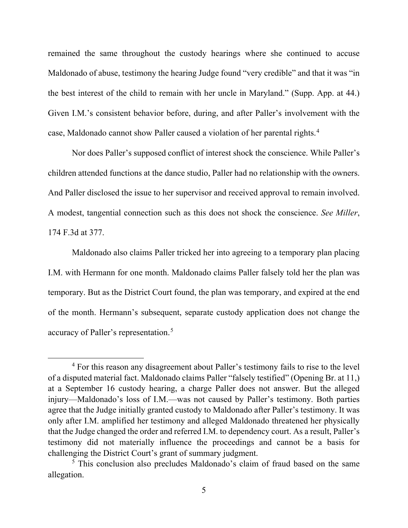remained the same throughout the custody hearings where she continued to accuse Maldonado of abuse, testimony the hearing Judge found "very credible" and that it was "in the best interest of the child to remain with her uncle in Maryland." (Supp. App. at 44.) Given I.M.'s consistent behavior before, during, and after Paller's involvement with the case, Maldonado cannot show Paller caused a violation of her parental rights.<sup>4</sup>

Nor does Paller's supposed conflict of interest shock the conscience. While Paller's children attended functions at the dance studio, Paller had no relationship with the owners. And Paller disclosed the issue to her supervisor and received approval to remain involved. A modest, tangential connection such as this does not shock the conscience. *See Miller*, 174 F.3d at 377.

Maldonado also claims Paller tricked her into agreeing to a temporary plan placing I.M. with Hermann for one month. Maldonado claims Paller falsely told her the plan was temporary. But as the District Court found, the plan was temporary, and expired at the end of the month. Hermann's subsequent, separate custody application does not change the accuracy of Paller's representation.<sup>5</sup>

<sup>&</sup>lt;sup>4</sup> For this reason any disagreement about Paller's testimony fails to rise to the level of a disputed material fact. Maldonado claims Paller "falsely testified" (Opening Br. at 11,) at a September 16 custody hearing, a charge Paller does not answer. But the alleged injury—Maldonado's loss of I.M.—was not caused by Paller's testimony. Both parties agree that the Judge initially granted custody to Maldonado after Paller's testimony. It was only after I.M. amplified her testimony and alleged Maldonado threatened her physically that the Judge changed the order and referred I.M. to dependency court. As a result, Paller's testimony did not materially influence the proceedings and cannot be a basis for challenging the District Court's grant of summary judgment.

<sup>5</sup> This conclusion also precludes Maldonado's claim of fraud based on the same allegation.